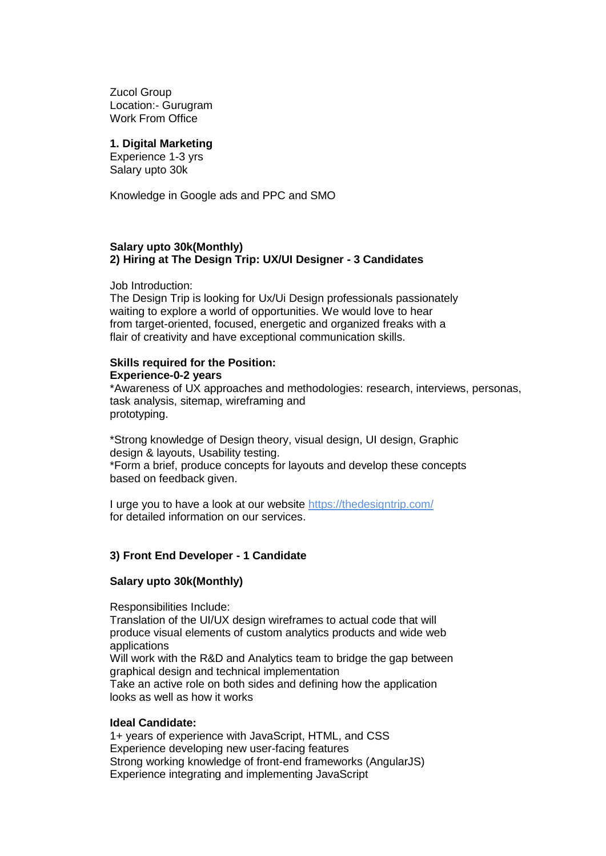Zucol Group Location:- Gurugram Work From Office

#### **1. Digital Marketing**

Experience 1-3 yrs Salary upto 30k

Knowledge in Google ads and PPC and SMO

#### **Salary upto 30k(Monthly) 2) Hiring at The Design Trip: UX/UI Designer - 3 Candidates**

Job Introduction:

The Design Trip is looking for Ux/Ui Design professionals passionately waiting to explore a world of opportunities. We would love to hear from target-oriented, focused, energetic and organized freaks with a flair of creativity and have exceptional communication skills.

# **Skills required for the Position: Experience-0-2 years**

\*Awareness of UX approaches and methodologies: research, interviews, personas, task analysis, sitemap, wireframing and prototyping.

\*Strong knowledge of Design theory, visual design, UI design, Graphic design & layouts, Usability testing.

\*Form a brief, produce concepts for layouts and develop these concepts based on feedback given.

I urge you to have a look at our website <https://thedesigntrip.com/> for detailed information on our services.

# **3) Front End Developer - 1 Candidate**

## **Salary upto 30k(Monthly)**

Responsibilities Include:

Translation of the UI/UX design wireframes to actual code that will produce visual elements of custom analytics products and wide web applications

Will work with the R&D and Analytics team to bridge the gap between graphical design and technical implementation

Take an active role on both sides and defining how the application looks as well as how it works

## **Ideal Candidate:**

1+ years of experience with JavaScript, HTML, and CSS Experience developing new user-facing features Strong working knowledge of front-end frameworks (AngularJS) Experience integrating and implementing JavaScript